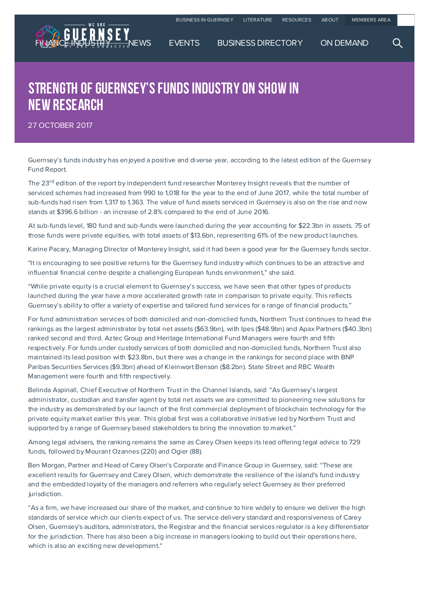

## STRENGTH OF GUERNSEY'S FUNDS INDUSTRY ON SHOW IN new research

27 OCTOBER 2017

Guernsey's funds industry has enjoyed a positive and diverse year, according to the latest edition of the Guernsey Fund Report.

The 23<sup>rd</sup> edition of the report by independent fund researcher Monterey Insight reveals that the number of serviced schemes had increased from 990 to 1,018 for the year to the end of June 2017, while the total number of sub-funds had risen from 1,317 to 1,363. The value of fund assets serviced in Guernsey is also on the rise and now stands at \$396.6 billion - an increase of 2.8% compared to the end of June 2016.

At sub-funds level, 180 fund and sub-funds were launched during the year accounting for \$22.3bn in assets. 75 of those funds were private equities, with total assets of \$13.6bn, representing 61% of the new product launches.

Karine Pacary, Managing Director of Monterey Insight, said it had been a good year for the Guernsey funds sector.

"It is encouraging to see positive returns for the Guernsey fund industry which continues to be an attractive and influential financial centre despite a challenging European funds environment," she said.

"While private equity is a crucial element to Guernsey's success, we have seen that other types of products launched during the year have a more accelerated growth rate in comparison to private equity. This reflects Guernsey's ability to offer a variety of expertise and tailored fund services for a range of financial products."

For fund administration services of both domiciled and non-domiciled funds, Northern Trust continues to head the rankings as the largest administrator by total net assets (\$63.9bn), with Ipes (\$48.9bn) and Apax Partners (\$40.3bn) ranked second and third. Aztec Group and Heritage International Fund Managers were fourth and fifth respectively. For funds under custody services of both domiciled and non-domiciled funds, Northern Trust also maintained its lead position with \$23.8bn, but there was a change in the rankings for second place with BNP Paribas Securities Services (\$9.3bn) ahead of Kleinwort Benson (\$8.2bn). State Street and RBC Wealth Management were fourth and fifth respectively.

Belinda Aspinall, Chief Executive of Northern Trust in the Channel Islands, said: "As Guernsey's largest administrator, custodian and transfer agent by total net assets we are committed to pioneering new solutions for the industry as demonstrated by our launch of the first commercial deployment of blockchain technology for the private equity market earlier this year. This global first was a collaborative initiative led by Northern Trust and supported by a range of Guernsey based stakeholders to bring the innovation to market."

Among legal advisers, the ranking remains the same as Carey Olsen keeps its lead offering legal advice to 729 funds, followed by Mourant Ozannes (220) and Ogier (88).

Ben Morgan, Partner and Head of Carey Olsen's Corporate and Finance Group in Guernsey, said: "These are excellent results for Guernsey and Carey Olsen, which demonstrate the resilience of the island's fund industry and the embedded loyalty of the managers and referrers who regularly select Guernsey as their preferred jurisdiction.

"As a firm, we have increased our share of the market, and continue to hire widely to ensure we deliver the high standards of service which our clients expect of us. The service delivery standard and responsiveness of Carey Olsen, Guernsey's auditors, administrators, the Registrar and the financial services regulator is a key differentiator for the jurisdiction. There has also been a big increase in managers looking to build out their operations here, which is also an exciting new development."